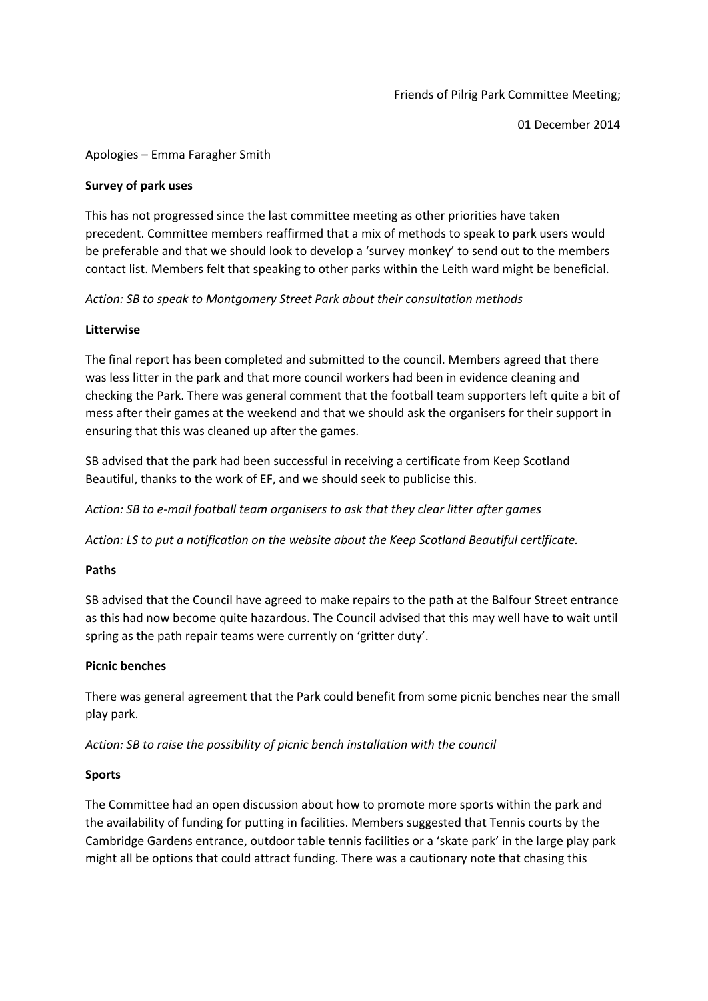01 December 2014

### Apologies – Emma Faragher Smith

#### **Survey of park uses**

This has not progressed since the last committee meeting as other priorities have taken precedent. Committee members reaffirmed that a mix of methods to speak to park users would be preferable and that we should look to develop a 'survey monkey' to send out to the members contact list. Members felt that speaking to other parks within the Leith ward might be beneficial.

*Action: SB to speak to Montgomery Street Park about their consultation methods*

### **Litterwise**

The final report has been completed and submitted to the council. Members agreed that there was less litter in the park and that more council workers had been in evidence cleaning and checking the Park. There was general comment that the football team supporters left quite a bit of mess after their games at the weekend and that we should ask the organisers for their support in ensuring that this was cleaned up after the games.

SB advised that the park had been successful in receiving a certificate from Keep Scotland Beautiful, thanks to the work of EF, and we should seek to publicise this.

*Action: SB to e-mail football team organisers to ask that they clear litter after games*

*Action: LS to put a notification on the website about the Keep Scotland Beautiful certificate.*

# **Paths**

SB advised that the Council have agreed to make repairs to the path at the Balfour Street entrance as this had now become quite hazardous. The Council advised that this may well have to wait until spring as the path repair teams were currently on 'gritter duty'.

#### **Picnic benches**

There was general agreement that the Park could benefit from some picnic benches near the small play park.

*Action: SB to raise the possibility of picnic bench installation with the council*

# **Sports**

The Committee had an open discussion about how to promote more sports within the park and the availability of funding for putting in facilities. Members suggested that Tennis courts by the Cambridge Gardens entrance, outdoor table tennis facilities or a 'skate park' in the large play park might all be options that could attract funding. There was a cautionary note that chasing this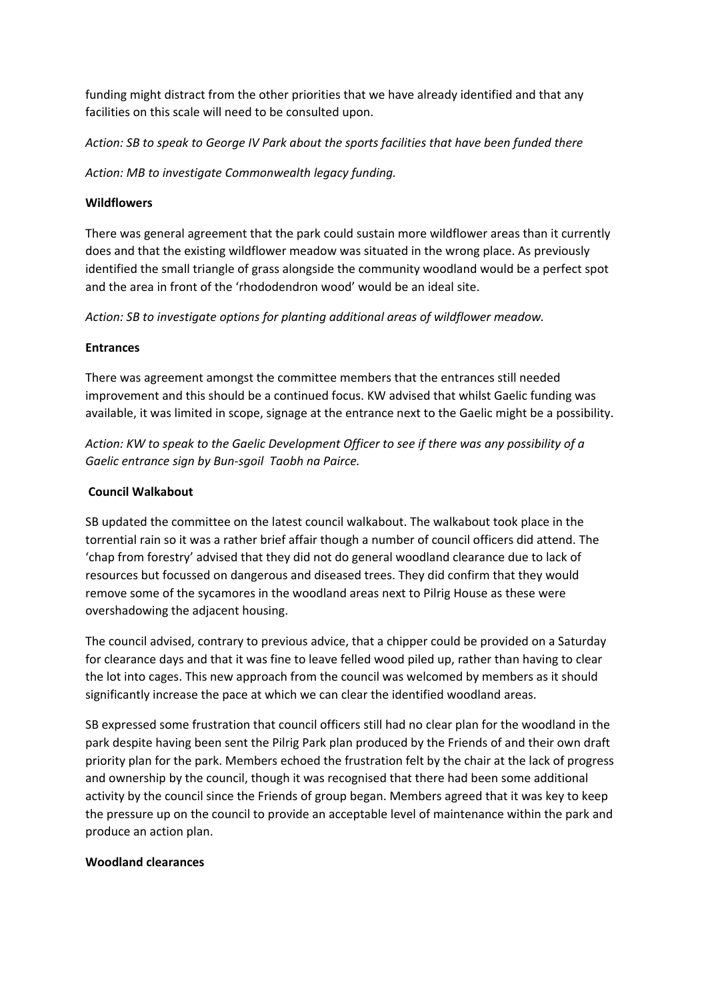funding might distract from the other priorities that we have already identified and that any facilities on this scale will need to be consulted upon.

*Action: SB to speak to George IV Park about the sports facilities that have been funded there*

*Action: MB to investigate Commonwealth legacy funding.*

### **Wildflowers**

There was general agreement that the park could sustain more wildflower areas than it currently does and that the existing wildflower meadow was situated in the wrong place. As previously identified the small triangle of grass alongside the community woodland would be a perfect spot and the area in front of the 'rhododendron wood' would be an ideal site.

*Action: SB to investigate options for planting additional areas of wildflower meadow.*

# **Entrances**

There was agreement amongst the committee members that the entrances still needed improvement and this should be a continued focus. KW advised that whilst Gaelic funding was available, it was limited in scope, signage at the entrance next to the Gaelic might be a possibility.

*Action: KW to speak to the Gaelic Development Officer to see if there was any possibility of a Gaelic entrance sign by Bun-sgoil Taobh na Pairce.*

# **Council Walkabout**

SB updated the committee on the latest council walkabout. The walkabout took place in the torrential rain so it was a rather brief affair though a number of council officers did attend. The 'chap from forestry' advised that they did not do general woodland clearance due to lack of resources but focussed on dangerous and diseased trees. They did confirm that they would remove some of the sycamores in the woodland areas next to Pilrig House as these were overshadowing the adjacent housing.

The council advised, contrary to previous advice, that a chipper could be provided on a Saturday for clearance days and that it was fine to leave felled wood piled up, rather than having to clear the lot into cages. This new approach from the council was welcomed by members as it should significantly increase the pace at which we can clear the identified woodland areas.

SB expressed some frustration that council officers still had no clear plan for the woodland in the park despite having been sent the Pilrig Park plan produced by the Friends of and their own draft priority plan for the park. Members echoed the frustration felt by the chair at the lack of progress and ownership by the council, though it was recognised that there had been some additional activity by the council since the Friends of group began. Members agreed that it was key to keep the pressure up on the council to provide an acceptable level of maintenance within the park and produce an action plan.

#### **Woodland clearances**